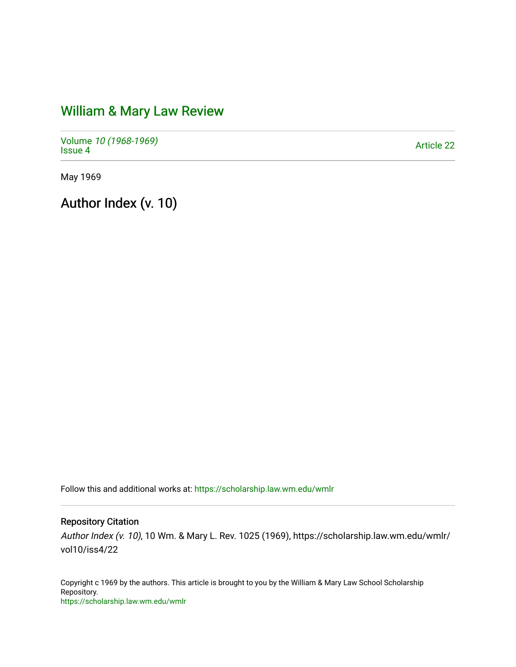# [William & Mary Law Review](https://scholarship.law.wm.edu/wmlr)

Volume [10 \(1968-1969\)](https://scholarship.law.wm.edu/wmlr/vol10)  Polarite *To* (*1906-1909)*<br>[Issue 4](https://scholarship.law.wm.edu/wmlr/vol10/iss4) Article 22

May 1969

Author Index (v. 10)

Follow this and additional works at: [https://scholarship.law.wm.edu/wmlr](https://scholarship.law.wm.edu/wmlr?utm_source=scholarship.law.wm.edu%2Fwmlr%2Fvol10%2Fiss4%2F22&utm_medium=PDF&utm_campaign=PDFCoverPages)

### Repository Citation

Author Index (v. 10), 10 Wm. & Mary L. Rev. 1025 (1969), https://scholarship.law.wm.edu/wmlr/ vol10/iss4/22

Copyright c 1969 by the authors. This article is brought to you by the William & Mary Law School Scholarship Repository. <https://scholarship.law.wm.edu/wmlr>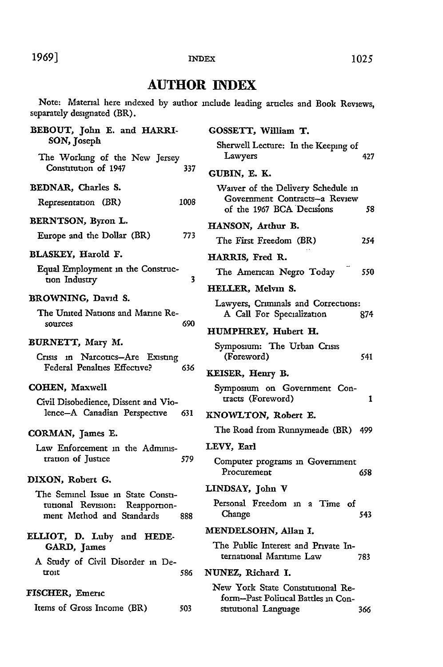#### 1969] **1025 1025**

#### **INDEX**

## **AUTHOR INDEX**

Note: Material here indexed by author include leading articles and Book Reviews, separately designated (BR).

| BEBOUT, John E. and HARRI-                                            | GOSSETT, William T.                                                                                     |  |
|-----------------------------------------------------------------------|---------------------------------------------------------------------------------------------------------|--|
| SON, Joseph                                                           | Sherwell Lecture: In the Keeping of                                                                     |  |
| The Working of the New Jersey<br>Constitution of 1947<br>337          | Lawyers<br>427                                                                                          |  |
|                                                                       | GUBIN, E. K.                                                                                            |  |
| BEDNAR, Charles S.<br>1008<br>Representation (BR)                     | Waiver of the Delivery Schedule in<br>Government Contracts--a Review<br>of the 1967 BCA Decisions<br>58 |  |
| BERNTSON, Byron L.                                                    | HANSON, Arthur B.                                                                                       |  |
| 773<br>Europe and the Dollar (BR)                                     | The First Freedom (BR)<br>254                                                                           |  |
| BLASKEY, Harold F.                                                    |                                                                                                         |  |
| Equal Employment in the Construc-                                     | HARRIS, Fred R.                                                                                         |  |
| 3<br>tion Industry                                                    | 550<br>The American Negro Today                                                                         |  |
| BROWNING, David S.                                                    | HELLER, Melvin S.                                                                                       |  |
| The United Nations and Marine Re-                                     | Lawyers, Criminals and Corrections:<br>A Call For Specialization<br>874                                 |  |
| 690<br>sources                                                        | HUMPHREY, Hubert H.                                                                                     |  |
| BURNETT, Mary M.                                                      | Symposium: The Urban Crisis                                                                             |  |
| Crisis in Narcotics-Are Existing                                      | (Foreword)<br>541                                                                                       |  |
| Federal Penalties Effective?<br>636                                   | KEISER, Henry B.                                                                                        |  |
| <b>COHEN, Maxwell</b>                                                 | Symposium on Government Con-                                                                            |  |
| Civil Disobedience, Dissent and Vio-                                  | tracts (Foreword)<br>1                                                                                  |  |
| lence-A Canadian Perspective<br>631                                   | KNOWLTON, Robert E.                                                                                     |  |
| CORMAN, James E.                                                      | The Road from Runnymeade (BR)<br>499                                                                    |  |
| Law Enforcement in the Adminis-                                       | LEVY. Earl                                                                                              |  |
| tration of Justice<br>579                                             | Computer programs in Government<br>Procurement<br>658                                                   |  |
| DIXON, Robert G.                                                      | LINDSAY, John V                                                                                         |  |
| The Seminel Issue in State Consti-<br>tutional Revision: Reapportion- | Personal Freedom in a Time of                                                                           |  |
| ment Method and Standards<br>888                                      | 543<br>Change                                                                                           |  |
|                                                                       | MENDELSOHN, Allan I.                                                                                    |  |
| ELLIOT, D. Luby and HEDE-<br>GARD, James                              | The Public Interest and Private In-                                                                     |  |
| A Study of Civil Disorder in De-                                      | ternational Maritime Law<br>783                                                                         |  |
| troit<br>586                                                          | NUNEZ, Richard I.                                                                                       |  |
| FISCHER, Emeric                                                       | New York State Constitutional Re-<br>form–Past Political Battles in Con-                                |  |
| Items of Gross Income (BR)<br>503                                     | stitutional Language<br>366                                                                             |  |